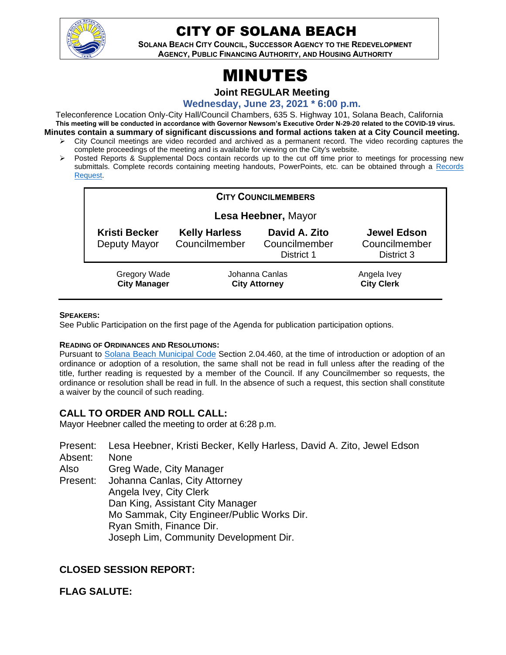

## CITY OF SOLANA BEACH

**SOLANA BEACH CITY COUNCIL, SUCCESSOR AGENCY TO THE REDEVELOPMENT AGENCY, PUBLIC FINANCING AUTHORITY, AND HOUSING AUTHORITY** 

# MINUTES

**Joint REGULAR Meeting**

**Wednesday, June 23, 2021 \* 6:00 p.m.**

Teleconference Location Only-City Hall/Council Chambers, 635 S. Highway 101, Solana Beach, California **This meeting will be conducted in accordance with Governor Newsom's Executive Order N-29-20 related to the COVID-19 virus. Minutes contain a summary of significant discussions and formal actions taken at a City Council meeting.**

- ➢ City Council meetings are video recorded and archived as a permanent record. The video recording captures the complete proceedings of the meeting and is available for viewing on the City's website.
- ➢ Posted Reports & Supplemental Docs contain records up to the cut off time prior to meetings for processing new submittals. Complete records containing meeting handouts, PowerPoints, etc. can be obtained through a Records [Request.](http://www.ci.solana-beach.ca.us/index.asp?SEC=F5D45D10-70CE-4291-A27C-7BD633FC6742&Type=B_BASIC)

| <b>CITY COUNCILMEMBERS</b>                 |                                        |                                              |                                                   |  |  |
|--------------------------------------------|----------------------------------------|----------------------------------------------|---------------------------------------------------|--|--|
| Lesa Heebner, Mayor                        |                                        |                                              |                                                   |  |  |
| Kristi Becker<br>Deputy Mayor              | <b>Kelly Harless</b><br>Councilmember  | David A. Zito<br>Councilmember<br>District 1 | <b>Jewel Edson</b><br>Councilmember<br>District 3 |  |  |
| <b>Gregory Wade</b><br><b>City Manager</b> | Johanna Canlas<br><b>City Attorney</b> |                                              | Angela Ivey<br><b>City Clerk</b>                  |  |  |

#### **SPEAKERS:**

See Public Participation on the first page of the Agenda for publication participation options.

#### **READING OF ORDINANCES AND RESOLUTIONS:**

Pursuant to [Solana Beach Municipal Code](https://www.codepublishing.com/CA/SolanaBeach/) Section 2.04.460, at the time of introduction or adoption of an ordinance or adoption of a resolution, the same shall not be read in full unless after the reading of the title, further reading is requested by a member of the Council. If any Councilmember so requests, the ordinance or resolution shall be read in full. In the absence of such a request, this section shall constitute a waiver by the council of such reading.

## **CALL TO ORDER AND ROLL CALL:**

Mayor Heebner called the meeting to order at 6:28 p.m.

Present: Lesa Heebner, Kristi Becker, Kelly Harless, David A. Zito, Jewel Edson Absent: None Also Present: Greg Wade, City Manager Johanna Canlas, City Attorney Angela Ivey, City Clerk Dan King, Assistant City Manager Mo Sammak, City Engineer/Public Works Dir. Ryan Smith, Finance Dir. Joseph Lim, Community Development Dir.

## **CLOSED SESSION REPORT:**

## **FLAG SALUTE:**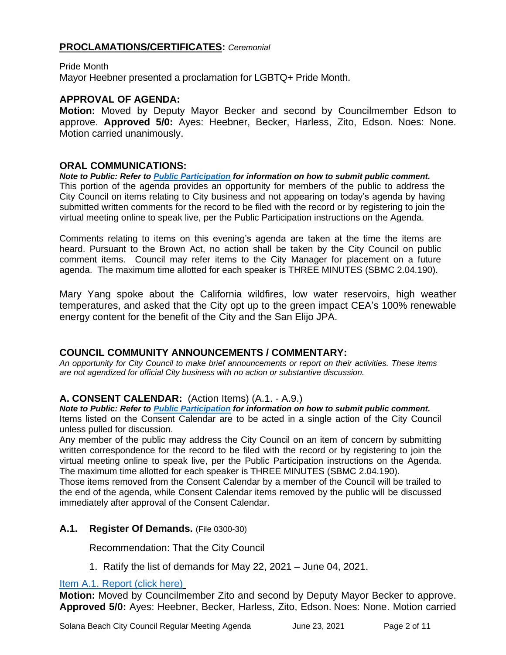## **PROCLAMATIONS/CERTIFICATES:** *Ceremonial*

Pride Month Mayor Heebner presented a proclamation for LGBTQ+ Pride Month.

## **APPROVAL OF AGENDA:**

**Motion:** Moved by Deputy Mayor Becker and second by Councilmember Edson to approve. **Approved 5/0:** Ayes: Heebner, Becker, Harless, Zito, Edson. Noes: None. Motion carried unanimously.

#### **ORAL COMMUNICATIONS:**

*Note to Public: Refer to Public Participation for information on how to submit public comment.*  This portion of the agenda provides an opportunity for members of the public to address the City Council on items relating to City business and not appearing on today's agenda by having submitted written comments for the record to be filed with the record or by registering to join the virtual meeting online to speak live, per the Public Participation instructions on the Agenda.

Comments relating to items on this evening's agenda are taken at the time the items are heard. Pursuant to the Brown Act, no action shall be taken by the City Council on public comment items. Council may refer items to the City Manager for placement on a future agenda. The maximum time allotted for each speaker is THREE MINUTES (SBMC 2.04.190).

Mary Yang spoke about the California wildfires, low water reservoirs, high weather temperatures, and asked that the City opt up to the green impact CEA's 100% renewable energy content for the benefit of the City and the San Elijo JPA.

## **COUNCIL COMMUNITY ANNOUNCEMENTS / COMMENTARY:**

*An opportunity for City Council to make brief announcements or report on their activities. These items are not agendized for official City business with no action or substantive discussion.* 

## **A. CONSENT CALENDAR:** (Action Items) (A.1. - A.9.)

*Note to Public: Refer to Public Participation for information on how to submit public comment.*  Items listed on the Consent Calendar are to be acted in a single action of the City Council unless pulled for discussion.

Any member of the public may address the City Council on an item of concern by submitting written correspondence for the record to be filed with the record or by registering to join the virtual meeting online to speak live, per the Public Participation instructions on the Agenda. The maximum time allotted for each speaker is THREE MINUTES (SBMC 2.04.190).

Those items removed from the Consent Calendar by a member of the Council will be trailed to the end of the agenda, while Consent Calendar items removed by the public will be discussed immediately after approval of the Consent Calendar.

## **A.1. Register Of Demands.** (File 0300-30)

Recommendation: That the City Council

1. Ratify the list of demands for May 22, 2021 – June 04, 2021.

## [Item A.1. Report \(click here\)](https://solanabeach.govoffice3.com/vertical/Sites/%7B840804C2-F869-4904-9AE3-720581350CE7%7D/uploads/Item_A.1._Report_(click_here)_06-23-21_O.pdf)

**Motion:** Moved by Councilmember Zito and second by Deputy Mayor Becker to approve. **Approved 5/0:** Ayes: Heebner, Becker, Harless, Zito, Edson. Noes: None. Motion carried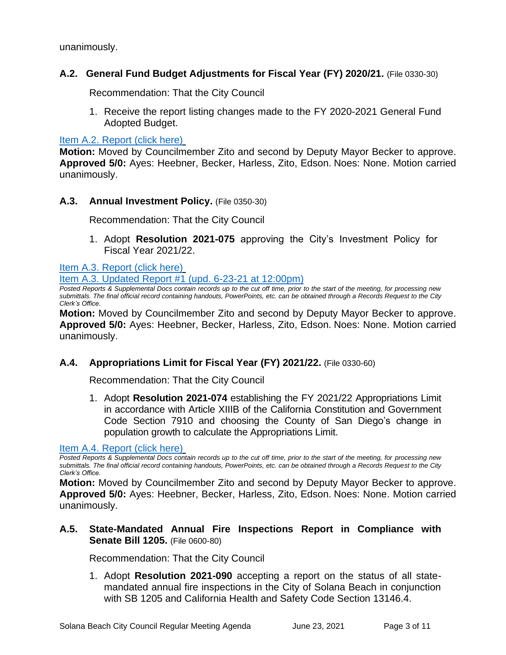unanimously.

## **A.2. General Fund Budget Adjustments for Fiscal Year (FY) 2020/21.** (File 0330-30)

Recommendation: That the City Council

1. Receive the report listing changes made to the FY 2020-2021 General Fund Adopted Budget.

[Item A.2. Report \(click here\)](https://solanabeach.govoffice3.com/vertical/Sites/%7B840804C2-F869-4904-9AE3-720581350CE7%7D/uploads/Item_A.2._Report_(click_here)_06-23-21_O.pdf)

**Motion:** Moved by Councilmember Zito and second by Deputy Mayor Becker to approve. **Approved 5/0:** Ayes: Heebner, Becker, Harless, Zito, Edson. Noes: None. Motion carried unanimously.

## **A.3. Annual Investment Policy.** (File 0350-30)

Recommendation: That the City Council

1. Adopt **Resolution 2021-075** approving the City's Investment Policy for Fiscal Year 2021/22.

[Item A.3. Report](https://solanabeach.govoffice3.com/vertical/Sites/%7B840804C2-F869-4904-9AE3-720581350CE7%7D/uploads/Item_A.3._Report_(click_here)_06-23-21_O(1).pdf) (click here)

[Item A.3. Updated Report #1 \(upd. 6-23-21 at 12:00pm\)](https://solanabeach.govoffice3.com/vertical/Sites/%7B840804C2-F869-4904-9AE3-720581350CE7%7D/uploads/A.3._Updated_Report_1_(6-23_at_1pm)_-_O.pdf)

*Posted Reports & Supplemental Docs contain records up to the cut off time, prior to the start of the meeting, for processing new submittals. The final official record containing handouts, PowerPoints, etc. can be obtained through a Records Request to the City Clerk's Office.*

**Motion:** Moved by Councilmember Zito and second by Deputy Mayor Becker to approve. **Approved 5/0:** Ayes: Heebner, Becker, Harless, Zito, Edson. Noes: None. Motion carried unanimously.

## **A.4. Appropriations Limit for Fiscal Year (FY) 2021/22.** (File 0330-60)

Recommendation: That the City Council

1. Adopt **Resolution 2021-074** establishing the FY 2021/22 Appropriations Limit in accordance with Article XIIIB of the California Constitution and Government Code Section 7910 and choosing the County of San Diego's change in population growth to calculate the Appropriations Limit.

#### [Item A.4. Report \(click here\)](https://solanabeach.govoffice3.com/vertical/Sites/%7B840804C2-F869-4904-9AE3-720581350CE7%7D/uploads/Item_A.4._Report_(click_here)_06-23-21_O.pdf)

*Posted Reports & Supplemental Docs contain records up to the cut off time, prior to the start of the meeting, for processing new submittals. The final official record containing handouts, PowerPoints, etc. can be obtained through a Records Request to the City Clerk's Office.*

**Motion:** Moved by Councilmember Zito and second by Deputy Mayor Becker to approve. **Approved 5/0:** Ayes: Heebner, Becker, Harless, Zito, Edson. Noes: None. Motion carried unanimously.

## **A.5. State-Mandated Annual Fire Inspections Report in Compliance with Senate Bill 1205.** (File 0600-80)

Recommendation: That the City Council

1. Adopt **Resolution 2021-090** accepting a report on the status of all statemandated annual fire inspections in the City of Solana Beach in conjunction with SB 1205 and California Health and Safety Code Section 13146.4.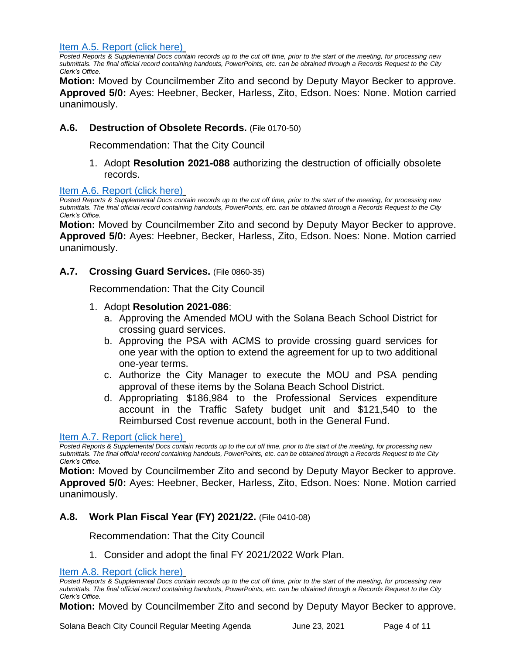[Item A.5. Report \(click here\)](https://solanabeach.govoffice3.com/vertical/Sites/%7B840804C2-F869-4904-9AE3-720581350CE7%7D/uploads/Item_A.5._Report_(click_here)_06-23-21_O.pdf)

*Posted Reports & Supplemental Docs contain records up to the cut off time, prior to the start of the meeting, for processing new submittals. The final official record containing handouts, PowerPoints, etc. can be obtained through a Records Request to the City Clerk's Office.*

**Motion:** Moved by Councilmember Zito and second by Deputy Mayor Becker to approve. **Approved 5/0:** Ayes: Heebner, Becker, Harless, Zito, Edson. Noes: None. Motion carried unanimously.

## **A.6. Destruction of Obsolete Records.** (File 0170-50)

Recommendation: That the City Council

1. Adopt **Resolution 2021-088** authorizing the destruction of officially obsolete records.

#### [Item A.6. Report \(click here\)](https://solanabeach.govoffice3.com/vertical/Sites/%7B840804C2-F869-4904-9AE3-720581350CE7%7D/uploads/Item_A.6._Report_(click_here)_06-23-21_O.pdf)

*Posted Reports & Supplemental Docs contain records up to the cut off time, prior to the start of the meeting, for processing new submittals. The final official record containing handouts, PowerPoints, etc. can be obtained through a Records Request to the City Clerk's Office.*

**Motion:** Moved by Councilmember Zito and second by Deputy Mayor Becker to approve. **Approved 5/0:** Ayes: Heebner, Becker, Harless, Zito, Edson. Noes: None. Motion carried unanimously.

## **A.7. Crossing Guard Services.** (File 0860-35)

Recommendation: That the City Council

## 1. Adopt **Resolution 2021-086**:

- a. Approving the Amended MOU with the Solana Beach School District for crossing guard services.
- b. Approving the PSA with ACMS to provide crossing guard services for one year with the option to extend the agreement for up to two additional one-year terms.
- c. Authorize the City Manager to execute the MOU and PSA pending approval of these items by the Solana Beach School District.
- d. Appropriating \$186,984 to the Professional Services expenditure account in the Traffic Safety budget unit and \$121,540 to the Reimbursed Cost revenue account, both in the General Fund.

#### [Item A.7. Report \(click here\)](https://solanabeach.govoffice3.com/vertical/Sites/%7B840804C2-F869-4904-9AE3-720581350CE7%7D/uploads/Item_A.7._Report_(click_here)_06-23-21_O.pdf)

*Posted Reports & Supplemental Docs contain records up to the cut off time, prior to the start of the meeting, for processing new submittals. The final official record containing handouts, PowerPoints, etc. can be obtained through a Records Request to the City Clerk's Office.*

**Motion:** Moved by Councilmember Zito and second by Deputy Mayor Becker to approve. **Approved 5/0:** Ayes: Heebner, Becker, Harless, Zito, Edson. Noes: None. Motion carried unanimously.

## **A.8. Work Plan Fiscal Year (FY) 2021/22.** (File 0410-08)

Recommendation: That the City Council

1. Consider and adopt the final FY 2021/2022 Work Plan.

[Item A.8. Report \(click here\)](https://solanabeach.govoffice3.com/vertical/Sites/%7B840804C2-F869-4904-9AE3-720581350CE7%7D/uploads/Item_A.8._Report_(click_here)_06-23-21_O.pdf)

*Posted Reports & Supplemental Docs contain records up to the cut off time, prior to the start of the meeting, for processing new submittals. The final official record containing handouts, PowerPoints, etc. can be obtained through a Records Request to the City Clerk's Office.*

**Motion:** Moved by Councilmember Zito and second by Deputy Mayor Becker to approve.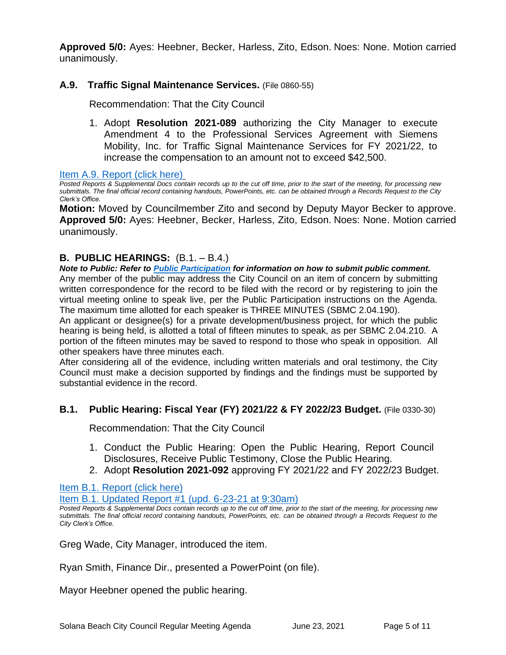**Approved 5/0:** Ayes: Heebner, Becker, Harless, Zito, Edson. Noes: None. Motion carried unanimously.

## **A.9. Traffic Signal Maintenance Services.** (File 0860-55)

Recommendation: That the City Council

1. Adopt **Resolution 2021-089** authorizing the City Manager to execute Amendment 4 to the Professional Services Agreement with Siemens Mobility, Inc. for Traffic Signal Maintenance Services for FY 2021/22, to increase the compensation to an amount not to exceed \$42,500.

[Item A.9. Report \(click here\)](https://solanabeach.govoffice3.com/vertical/Sites/%7B840804C2-F869-4904-9AE3-720581350CE7%7D/uploads/Item_A.9._Report_(click_here)_06-23-21_O.pdf)

*Posted Reports & Supplemental Docs contain records up to the cut off time, prior to the start of the meeting, for processing new submittals. The final official record containing handouts, PowerPoints, etc. can be obtained through a Records Request to the City Clerk's Office.*

**Motion:** Moved by Councilmember Zito and second by Deputy Mayor Becker to approve. **Approved 5/0:** Ayes: Heebner, Becker, Harless, Zito, Edson. Noes: None. Motion carried unanimously.

## **B. PUBLIC HEARINGS:** (B.1. – B.4.)

*Note to Public: Refer to Public Participation for information on how to submit public comment.*  Any member of the public may address the City Council on an item of concern by submitting written correspondence for the record to be filed with the record or by registering to join the virtual meeting online to speak live, per the Public Participation instructions on the Agenda. The maximum time allotted for each speaker is THREE MINUTES (SBMC 2.04.190).

An applicant or designee(s) for a private development/business project, for which the public hearing is being held, is allotted a total of fifteen minutes to speak, as per SBMC 2.04.210. A portion of the fifteen minutes may be saved to respond to those who speak in opposition. All other speakers have three minutes each.

After considering all of the evidence, including written materials and oral testimony, the City Council must make a decision supported by findings and the findings must be supported by substantial evidence in the record.

#### **B.1. Public Hearing: Fiscal Year (FY) 2021/22 & FY 2022/23 Budget.** (File 0330-30)

Recommendation: That the City Council

- 1. Conduct the Public Hearing: Open the Public Hearing, Report Council Disclosures, Receive Public Testimony, Close the Public Hearing.
- 2. Adopt **Resolution 2021-092** approving FY 2021/22 and FY 2022/23 Budget.

#### [Item B.1. Report \(click here\)](https://solanabeach.govoffice3.com/vertical/Sites/%7B840804C2-F869-4904-9AE3-720581350CE7%7D/uploads/Item_B.1._Report_(click_here)_06-23-21_O.pdf)

[Item B.1. Updated Report #1 \(upd. 6-23-21](https://solanabeach.govoffice3.com/vertical/Sites/%7B840804C2-F869-4904-9AE3-720581350CE7%7D/uploads/Item_B.1._Updated_Report_1_(6-23)_-_O.pdf) at 9:30am)

*Posted Reports & Supplemental Docs contain records up to the cut off time, prior to the start of the meeting, for processing new submittals. The final official record containing handouts, PowerPoints, etc. can be obtained through a Records Request to the City Clerk's Office.*

Greg Wade, City Manager, introduced the item.

Ryan Smith, Finance Dir., presented a PowerPoint (on file).

Mayor Heebner opened the public hearing.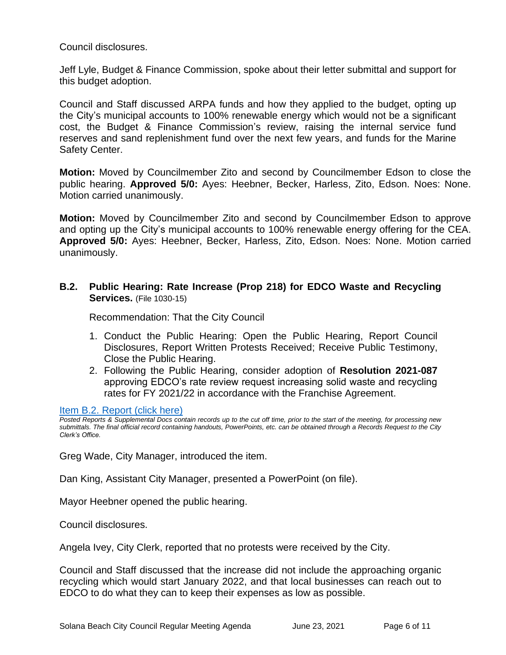Council disclosures.

Jeff Lyle, Budget & Finance Commission, spoke about their letter submittal and support for this budget adoption.

Council and Staff discussed ARPA funds and how they applied to the budget, opting up the City's municipal accounts to 100% renewable energy which would not be a significant cost, the Budget & Finance Commission's review, raising the internal service fund reserves and sand replenishment fund over the next few years, and funds for the Marine Safety Center.

**Motion:** Moved by Councilmember Zito and second by Councilmember Edson to close the public hearing. **Approved 5/0:** Ayes: Heebner, Becker, Harless, Zito, Edson. Noes: None. Motion carried unanimously.

**Motion:** Moved by Councilmember Zito and second by Councilmember Edson to approve and opting up the City's municipal accounts to 100% renewable energy offering for the CEA. **Approved 5/0:** Ayes: Heebner, Becker, Harless, Zito, Edson. Noes: None. Motion carried unanimously.

## **B.2. Public Hearing: Rate Increase (Prop 218) for EDCO Waste and Recycling Services.** (File 1030-15)

Recommendation: That the City Council

- 1. Conduct the Public Hearing: Open the Public Hearing, Report Council Disclosures, Report Written Protests Received; Receive Public Testimony, Close the Public Hearing.
- 2. Following the Public Hearing, consider adoption of **Resolution 2021-087** approving EDCO's rate review request increasing solid waste and recycling rates for FY 2021/22 in accordance with the Franchise Agreement.

[Item B.2. Report \(click here\)](https://solanabeach.govoffice3.com/vertical/Sites/%7B840804C2-F869-4904-9AE3-720581350CE7%7D/uploads/Item_B.2._Report_(click_here)_06-23-21_O.pdf)

*Posted Reports & Supplemental Docs contain records up to the cut off time, prior to the start of the meeting, for processing new submittals. The final official record containing handouts, PowerPoints, etc. can be obtained through a Records Request to the City Clerk's Office.*

Greg Wade, City Manager, introduced the item.

Dan King, Assistant City Manager, presented a PowerPoint (on file).

Mayor Heebner opened the public hearing.

Council disclosures.

Angela Ivey, City Clerk, reported that no protests were received by the City.

Council and Staff discussed that the increase did not include the approaching organic recycling which would start January 2022, and that local businesses can reach out to EDCO to do what they can to keep their expenses as low as possible.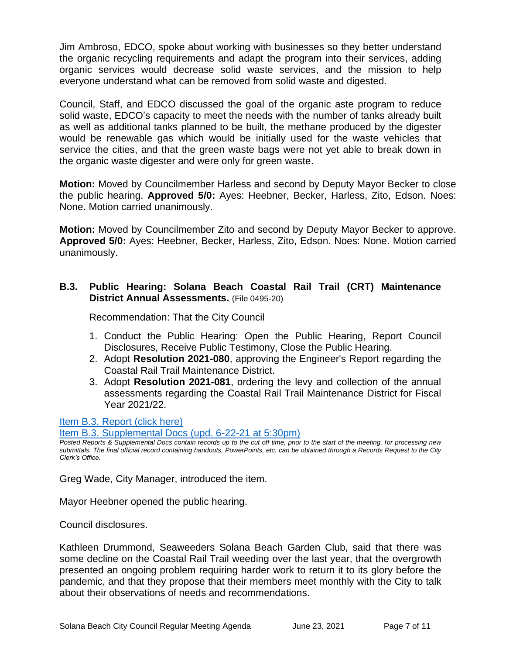Jim Ambroso, EDCO, spoke about working with businesses so they better understand the organic recycling requirements and adapt the program into their services, adding organic services would decrease solid waste services, and the mission to help everyone understand what can be removed from solid waste and digested.

Council, Staff, and EDCO discussed the goal of the organic aste program to reduce solid waste, EDCO's capacity to meet the needs with the number of tanks already built as well as additional tanks planned to be built, the methane produced by the digester would be renewable gas which would be initially used for the waste vehicles that service the cities, and that the green waste bags were not yet able to break down in the organic waste digester and were only for green waste.

**Motion:** Moved by Councilmember Harless and second by Deputy Mayor Becker to close the public hearing. **Approved 5/0:** Ayes: Heebner, Becker, Harless, Zito, Edson. Noes: None. Motion carried unanimously.

**Motion:** Moved by Councilmember Zito and second by Deputy Mayor Becker to approve. **Approved 5/0:** Ayes: Heebner, Becker, Harless, Zito, Edson. Noes: None. Motion carried unanimously.

## **B.3. Public Hearing: Solana Beach Coastal Rail Trail (CRT) Maintenance District Annual Assessments.** (File 0495-20)

Recommendation: That the City Council

- 1. Conduct the Public Hearing: Open the Public Hearing, Report Council Disclosures, Receive Public Testimony, Close the Public Hearing.
- 2. Adopt **Resolution 2021-080**, approving the Engineer's Report regarding the Coastal Rail Trail Maintenance District.
- 3. Adopt **Resolution 2021-081**, ordering the levy and collection of the annual assessments regarding the Coastal Rail Trail Maintenance District for Fiscal Year 2021/22.

[Item B.3. Report \(click](https://solanabeach.govoffice3.com/vertical/Sites/%7B840804C2-F869-4904-9AE3-720581350CE7%7D/uploads/Item_B.3._Report_(click_here)_06-23-21_O(1).pdf) here)

[Item B.3. Supplemental Docs \(upd. 6-22-21 at 5:30pm\)](https://solanabeach.govoffice3.com/vertical/Sites/%7B840804C2-F869-4904-9AE3-720581350CE7%7D/uploads/Item_B.3._Supplemental_Docs_(upd._6-22_at_455pm)_-_O.pdf)

*Posted Reports & Supplemental Docs contain records up to the cut off time, prior to the start of the meeting, for processing new submittals. The final official record containing handouts, PowerPoints, etc. can be obtained through a Records Request to the City Clerk's Office.*

Greg Wade, City Manager, introduced the item.

Mayor Heebner opened the public hearing.

Council disclosures.

Kathleen Drummond, Seaweeders Solana Beach Garden Club, said that there was some decline on the Coastal Rail Trail weeding over the last year, that the overgrowth presented an ongoing problem requiring harder work to return it to its glory before the pandemic, and that they propose that their members meet monthly with the City to talk about their observations of needs and recommendations.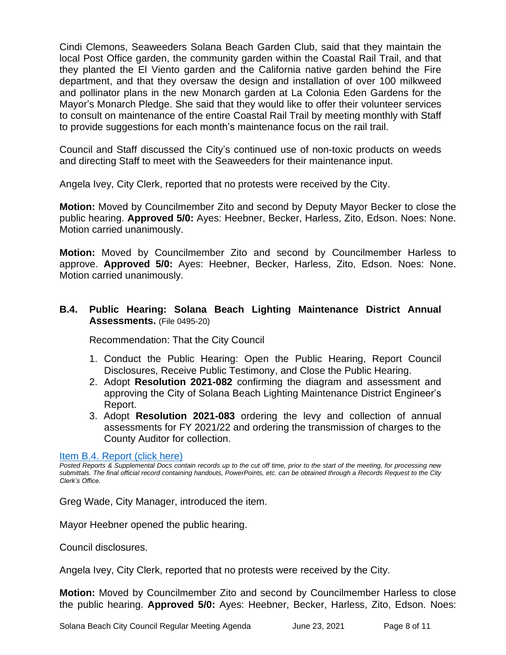Cindi Clemons, Seaweeders Solana Beach Garden Club, said that they maintain the local Post Office garden, the community garden within the Coastal Rail Trail, and that they planted the El Viento garden and the California native garden behind the Fire department, and that they oversaw the design and installation of over 100 milkweed and pollinator plans in the new Monarch garden at La Colonia Eden Gardens for the Mayor's Monarch Pledge. She said that they would like to offer their volunteer services to consult on maintenance of the entire Coastal Rail Trail by meeting monthly with Staff to provide suggestions for each month's maintenance focus on the rail trail.

Council and Staff discussed the City's continued use of non-toxic products on weeds and directing Staff to meet with the Seaweeders for their maintenance input.

Angela Ivey, City Clerk, reported that no protests were received by the City.

**Motion:** Moved by Councilmember Zito and second by Deputy Mayor Becker to close the public hearing. **Approved 5/0:** Ayes: Heebner, Becker, Harless, Zito, Edson. Noes: None. Motion carried unanimously.

**Motion:** Moved by Councilmember Zito and second by Councilmember Harless to approve. **Approved 5/0:** Ayes: Heebner, Becker, Harless, Zito, Edson. Noes: None. Motion carried unanimously.

## **B.4. Public Hearing: Solana Beach Lighting Maintenance District Annual Assessments.** (File 0495-20)

Recommendation: That the City Council

- 1. Conduct the Public Hearing: Open the Public Hearing, Report Council Disclosures, Receive Public Testimony, and Close the Public Hearing.
- 2. Adopt **Resolution 2021-082** confirming the diagram and assessment and approving the City of Solana Beach Lighting Maintenance District Engineer's Report.
- 3. Adopt **Resolution 2021-083** ordering the levy and collection of annual assessments for FY 2021/22 and ordering the transmission of charges to the County Auditor for collection.

#### [Item B.4. Report \(click here\)](https://solanabeach.govoffice3.com/vertical/Sites/%7B840804C2-F869-4904-9AE3-720581350CE7%7D/uploads/Item_B.4._Report_(click_here)_06-23-21_O.pdf)

*Posted Reports & Supplemental Docs contain records up to the cut off time, prior to the start of the meeting, for processing new submittals. The final official record containing handouts, PowerPoints, etc. can be obtained through a Records Request to the City Clerk's Office.*

Greg Wade, City Manager, introduced the item.

Mayor Heebner opened the public hearing.

Council disclosures.

Angela Ivey, City Clerk, reported that no protests were received by the City.

**Motion:** Moved by Councilmember Zito and second by Councilmember Harless to close the public hearing. **Approved 5/0:** Ayes: Heebner, Becker, Harless, Zito, Edson. Noes: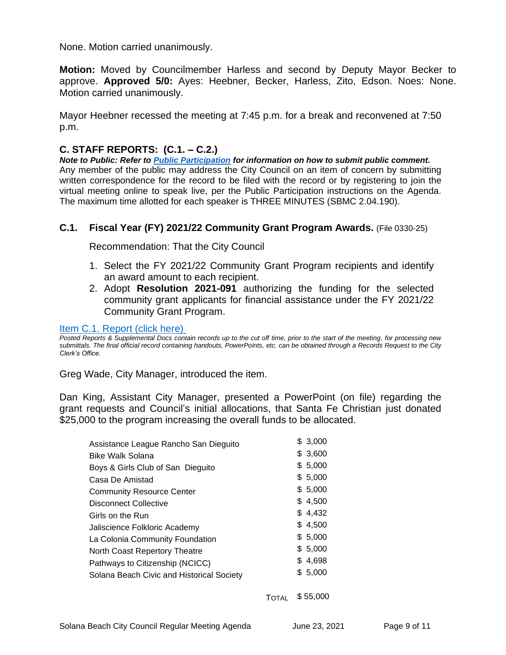None. Motion carried unanimously.

**Motion:** Moved by Councilmember Harless and second by Deputy Mayor Becker to approve. **Approved 5/0:** Ayes: Heebner, Becker, Harless, Zito, Edson. Noes: None. Motion carried unanimously.

Mayor Heebner recessed the meeting at 7:45 p.m. for a break and reconvened at 7:50 p.m.

## **C. STAFF REPORTS: (C.1. – C.2.)**

*Note to Public: Refer to Public Participation for information on how to submit public comment.*  Any member of the public may address the City Council on an item of concern by submitting written correspondence for the record to be filed with the record or by registering to join the virtual meeting online to speak live, per the Public Participation instructions on the Agenda. The maximum time allotted for each speaker is THREE MINUTES (SBMC 2.04.190).

## **C.1. Fiscal Year (FY) 2021/22 Community Grant Program Awards.** (File 0330-25)

Recommendation: That the City Council

- 1. Select the FY 2021/22 Community Grant Program recipients and identify an award amount to each recipient.
- 2. Adopt **Resolution 2021-091** authorizing the funding for the selected community grant applicants for financial assistance under the FY 2021/22 Community Grant Program.

Item C.1. Report (click here)

*Posted Reports & Supplemental Docs contain records up to the cut off time, prior to the start of the meeting, for processing new submittals. The final official record containing handouts, PowerPoints, etc. can be obtained through a Records Request to the City Clerk's Office.*

Greg Wade, City Manager, introduced the item.

Dan King, Assistant City Manager, presented a PowerPoint (on file) regarding the grant requests and Council's initial allocations, that Santa Fe Christian just donated \$25,000 to the program increasing the overall funds to be allocated.

| Assistance League Rancho San Dieguito     | \$3,000  |
|-------------------------------------------|----------|
| <b>Bike Walk Solana</b>                   | \$3,600  |
| Boys & Girls Club of San Dieguito         | \$5,000  |
| Casa De Amistad                           | \$5,000  |
| <b>Community Resource Center</b>          | \$5,000  |
| <b>Disconnect Collective</b>              | \$4,500  |
| Girls on the Run                          | \$4,432  |
| Jaliscience Folkloric Academy             | \$4.500  |
| La Colonia Community Foundation           | \$5,000  |
| North Coast Repertory Theatre             | \$5,000  |
| Pathways to Citizenship (NCICC)           | \$4,698  |
| Solana Beach Civic and Historical Society | \$ 5,000 |
|                                           |          |

TOTAL \$ 55,000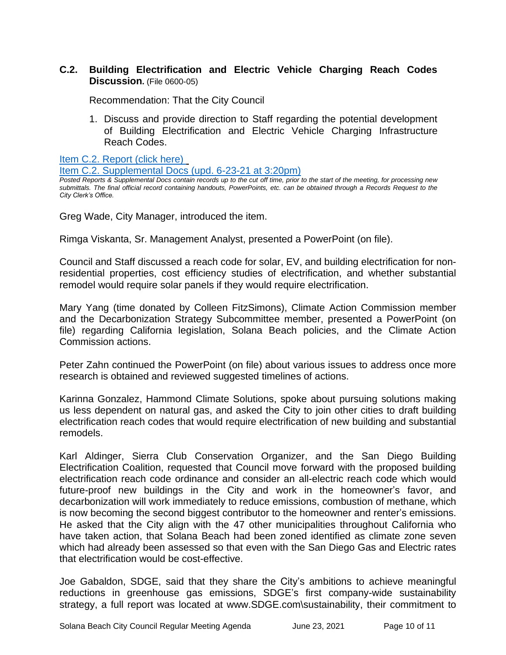## **C.2. Building Electrification and Electric Vehicle Charging Reach Codes Discussion.** (File 0600-05)

Recommendation: That the City Council

1. Discuss and provide direction to Staff regarding the potential development of Building Electrification and Electric Vehicle Charging Infrastructure Reach Codes.

Item C.2. Report (click here)

Item C.2. Supplemental Docs (upd. 6-23-21 at 3:20pm)

*Posted Reports & Supplemental Docs contain records up to the cut off time, prior to the start of the meeting, for processing new submittals. The final official record containing handouts, PowerPoints, etc. can be obtained through a Records Request to the City Clerk's Office.*

Greg Wade, City Manager, introduced the item.

Rimga Viskanta, Sr. Management Analyst, presented a PowerPoint (on file).

Council and Staff discussed a reach code for solar, EV, and building electrification for nonresidential properties, cost efficiency studies of electrification, and whether substantial remodel would require solar panels if they would require electrification.

Mary Yang (time donated by Colleen FitzSimons), Climate Action Commission member and the Decarbonization Strategy Subcommittee member, presented a PowerPoint (on file) regarding California legislation, Solana Beach policies, and the Climate Action Commission actions.

Peter Zahn continued the PowerPoint (on file) about various issues to address once more research is obtained and reviewed suggested timelines of actions.

Karinna Gonzalez, Hammond Climate Solutions, spoke about pursuing solutions making us less dependent on natural gas, and asked the City to join other cities to draft building electrification reach codes that would require electrification of new building and substantial remodels.

Karl Aldinger, Sierra Club Conservation Organizer, and the San Diego Building Electrification Coalition, requested that Council move forward with the proposed building electrification reach code ordinance and consider an all-electric reach code which would future-proof new buildings in the City and work in the homeowner's favor, and decarbonization will work immediately to reduce emissions, combustion of methane, which is now becoming the second biggest contributor to the homeowner and renter's emissions. He asked that the City align with the 47 other municipalities throughout California who have taken action, that Solana Beach had been zoned identified as climate zone seven which had already been assessed so that even with the San Diego Gas and Electric rates that electrification would be cost-effective.

Joe Gabaldon, SDGE, said that they share the City's ambitions to achieve meaningful reductions in greenhouse gas emissions, SDGE's first company-wide sustainability strategy, a full report was located at www.SDGE.com\sustainability, their commitment to